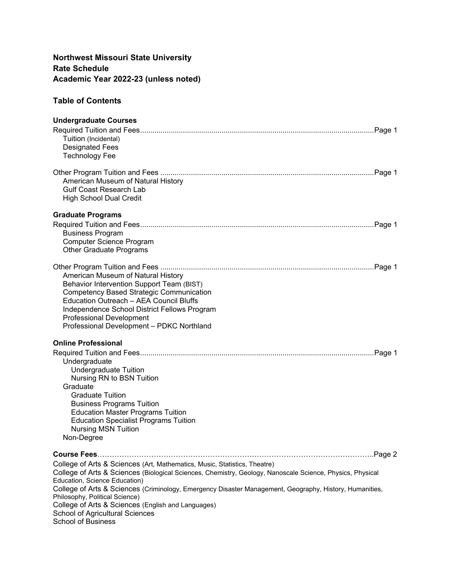# **Northwest Missouri State University Rate Schedule Academic Year 2022-23 (unless noted)**

# **Table of Contents**

| <b>Undergraduate Courses</b>                                                                                                                                                                                                                                                                                  |
|---------------------------------------------------------------------------------------------------------------------------------------------------------------------------------------------------------------------------------------------------------------------------------------------------------------|
| Tuition (Incidental)<br><b>Designated Fees</b>                                                                                                                                                                                                                                                                |
| <b>Technology Fee</b>                                                                                                                                                                                                                                                                                         |
| American Museum of Natural History<br><b>Gulf Coast Research Lab</b><br><b>High School Dual Credit</b>                                                                                                                                                                                                        |
| <b>Graduate Programs</b>                                                                                                                                                                                                                                                                                      |
| <b>Business Program</b><br><b>Computer Science Program</b><br><b>Other Graduate Programs</b>                                                                                                                                                                                                                  |
| American Museum of Natural History<br>Behavior Intervention Support Team (BIST)<br><b>Competency Based Strategic Communication</b><br>Education Outreach - AEA Council Bluffs<br>Independence School District Fellows Program<br><b>Professional Development</b><br>Professional Development - PDKC Northland |
| <b>Online Professional</b>                                                                                                                                                                                                                                                                                    |
|                                                                                                                                                                                                                                                                                                               |
| Undergraduate                                                                                                                                                                                                                                                                                                 |
| <b>Undergraduate Tuition</b><br>Nursing RN to BSN Tuition                                                                                                                                                                                                                                                     |
| Graduate                                                                                                                                                                                                                                                                                                      |
| <b>Graduate Tuition</b>                                                                                                                                                                                                                                                                                       |
| <b>Business Programs Tuition</b>                                                                                                                                                                                                                                                                              |
| <b>Education Master Programs Tuition</b>                                                                                                                                                                                                                                                                      |
| <b>Education Specialist Programs Tuition</b><br><b>Nursing MSN Tuition</b>                                                                                                                                                                                                                                    |
| Non-Degree                                                                                                                                                                                                                                                                                                    |
|                                                                                                                                                                                                                                                                                                               |
| College of Arts & Sciences (Art, Mathematics, Music, Statistics, Theatre)                                                                                                                                                                                                                                     |
| College of Arts & Sciences (Biological Sciences, Chemistry, Geology, Nanoscale Science, Physics, Physical                                                                                                                                                                                                     |
| Education, Science Education)                                                                                                                                                                                                                                                                                 |
| College of Arts & Sciences (Criminology, Emergency Disaster Management, Geography, History, Humanities,<br>Philosophy, Political Science)                                                                                                                                                                     |
| College of Arts & Sciences (English and Languages)                                                                                                                                                                                                                                                            |
| School of Agricultural Sciences                                                                                                                                                                                                                                                                               |
| <b>School of Business</b>                                                                                                                                                                                                                                                                                     |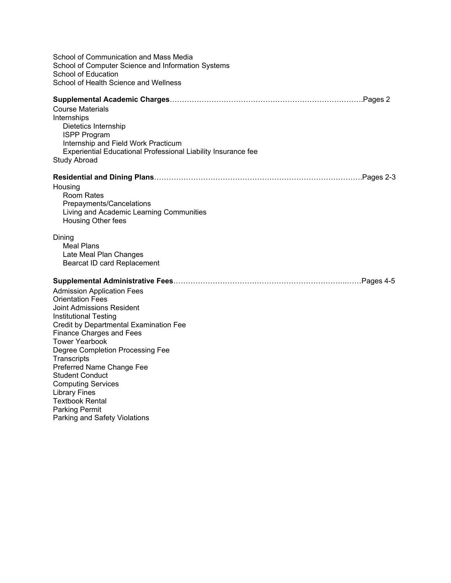| School of Communication and Mass Media<br>School of Computer Science and Information Systems<br>School of Education<br>School of Health Science and Wellness                                                                                                                                                                                                                                                                                                                       |
|------------------------------------------------------------------------------------------------------------------------------------------------------------------------------------------------------------------------------------------------------------------------------------------------------------------------------------------------------------------------------------------------------------------------------------------------------------------------------------|
| <b>Course Materials</b><br>Internships<br>Dietetics Internship<br><b>ISPP Program</b><br>Internship and Field Work Practicum<br>Experiential Educational Professional Liability Insurance fee<br>Study Abroad                                                                                                                                                                                                                                                                      |
| Housing<br><b>Room Rates</b><br>Prepayments/Cancelations<br>Living and Academic Learning Communities<br>Housing Other fees                                                                                                                                                                                                                                                                                                                                                         |
| Dining<br><b>Meal Plans</b><br>Late Meal Plan Changes<br>Bearcat ID card Replacement                                                                                                                                                                                                                                                                                                                                                                                               |
| <b>Admission Application Fees</b><br><b>Orientation Fees</b><br>Joint Admissions Resident<br><b>Institutional Testing</b><br>Credit by Departmental Examination Fee<br><b>Finance Charges and Fees</b><br><b>Tower Yearbook</b><br>Degree Completion Processing Fee<br>Transcripts<br>Preferred Name Change Fee<br><b>Student Conduct</b><br><b>Computing Services</b><br><b>Library Fines</b><br><b>Textbook Rental</b><br><b>Parking Permit</b><br>Parking and Safety Violations |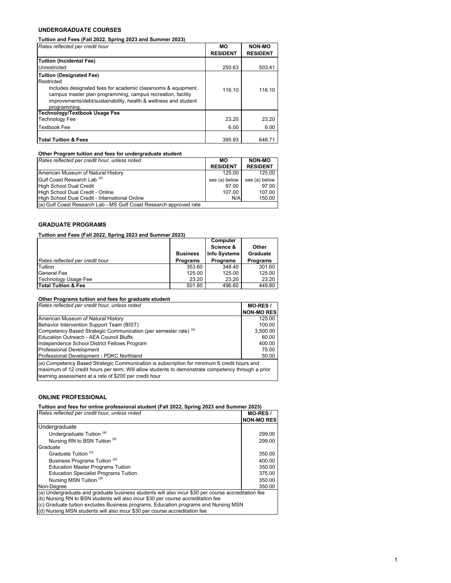## **UNDERGRADUATE COURSES**

**Tuition and Fees (Fall 2022, Spring 2023 and Summer 2023)**

| Rates reflected per credit hour                                                                                                                                                                                                                                  | MО<br><b>RESIDENT</b> | <b>NON-MO</b><br><b>RESIDENT</b> |
|------------------------------------------------------------------------------------------------------------------------------------------------------------------------------------------------------------------------------------------------------------------|-----------------------|----------------------------------|
| Tuition (Incidental Fee)                                                                                                                                                                                                                                         |                       |                                  |
| Unrestricted                                                                                                                                                                                                                                                     | 250.63                | 503.41                           |
| <b>Tuition (Designated Fee)</b><br>Restricted<br>Includes designated fees for academic classrooms & equipment,<br>campus master plan programming, campus recreation, facility<br>improvements/debt/sustainability, health & wellness and student<br>programming. | 116.10                | 116.10                           |
| <b>Technology/Textbook Usage Fee</b>                                                                                                                                                                                                                             |                       |                                  |
| <b>Technology Fee</b>                                                                                                                                                                                                                                            | 23.20                 | 23.20                            |
| <b>Textbook Fee</b>                                                                                                                                                                                                                                              | 6.00                  | 6.00                             |
| lTotal Tuition & Fees                                                                                                                                                                                                                                            | 395.93                | 648.71                           |

| Other Program tuition and fees for undergraduate student           |                 |                 |
|--------------------------------------------------------------------|-----------------|-----------------|
| Rates reflected per credit hour, unless noted                      | MО              | <b>NON-MO</b>   |
|                                                                    | <b>RESIDENT</b> | <b>RESIDENT</b> |
| American Museum of Natural History                                 | 125.00          | 125.00          |
| Gulf Coast Research Lab <sup>(a)</sup>                             | see (a) below   | see (a) below   |
| High School Dual Credit                                            | 97.00           | 97.00           |
| High School Dual Credit - Online                                   | 107.00          | 107.00          |
| High School Dual Credit - International Online                     | N/A             | 150.00          |
| (a) Gulf Coast Research Lab - MS Gulf Coast Research approved rate |                 |                 |

# **GRADUATE PROGRAMS**

#### **Tuition and Fees (Fall 2022, Spring 2023 and Summer 2023)**

|                                 |                 | Computer            |                 |
|---------------------------------|-----------------|---------------------|-----------------|
|                                 |                 | Science &           | Other           |
|                                 | <b>Business</b> | <b>Info Systems</b> | Graduate        |
| Rates reflected per credit hour | <b>Programs</b> | <b>Programs</b>     | <b>Programs</b> |
| Tuition                         | 353.60          | 348.40              | 301.60          |
| <b>General Fee</b>              | 125.00          | 125.00              | 125.00          |
| Technology Usage Fee            | 23.20           | 23.20               | 23.20           |
| Total Tuition & Fee             | 501.80          | 496.60              | 449.80          |

## **Other Programs tuition and fees for graduate student**

| Rates reflected per credit hour, unless noted                                                                                                                                                                                                               | MO-RES /          |
|-------------------------------------------------------------------------------------------------------------------------------------------------------------------------------------------------------------------------------------------------------------|-------------------|
|                                                                                                                                                                                                                                                             | <b>NON-MO RES</b> |
| American Museum of Natural History                                                                                                                                                                                                                          | 125.00            |
| Behavior Intervention Support Team (BIST)                                                                                                                                                                                                                   | 100.00            |
| Competency Based Strategic Communication (per semester rate) (a)                                                                                                                                                                                            | 3,500.00          |
| Education Outreach - AEA Council Bluffs                                                                                                                                                                                                                     | 60.00             |
| Independence School District Fellows Program                                                                                                                                                                                                                | 400.00            |
| Professional Development                                                                                                                                                                                                                                    | 75.00             |
| Professional Development - PDKC Northland                                                                                                                                                                                                                   | 50.00             |
| (a) Competency Based Strategic Communication is subscription for minimum 6 credit hours and<br>maximum of 12 credit hours per term. Will allow students to demonstrate competency through a prior<br>learning assessment at a rate of \$200 per credit hour |                   |

## **ONLINE PROFESSIONAL**

| Tuition and fees for online professional student (Fall 2022, Spring 2023 and Summer 2023)          |                   |
|----------------------------------------------------------------------------------------------------|-------------------|
| Rates reflected per credit hour, unless noted                                                      | MO-RES /          |
|                                                                                                    | <b>NON-MO RES</b> |
| Undergraduate                                                                                      |                   |
| Undergraduate Tuition (a)                                                                          | 299.00            |
| Nursing RN to BSN Tuition (b)                                                                      | 299.00            |
| Graduate                                                                                           |                   |
| Graduate Tuition <sup>(c)</sup>                                                                    | 350.00            |
| Business Programs Tuition (a)                                                                      | 400.00            |
| <b>Education Master Programs Tuition</b>                                                           | 350.00            |
| <b>Education Specialist Programs Tuition</b>                                                       | 375.00            |
| Nursing MSN Tuition (d)                                                                            | 350.00            |
| Non-Dearee                                                                                         | 350.00            |
| (a) Undergraduate and graduate business students will also incur \$30 per course accreditation fee |                   |
| (b) Nursing RN to BSN students will also incur \$30 per course accreditation fee                   |                   |
| (c) Graduate tuition excludes Business programs, Education programs and Nursing MSN                |                   |

(d) Nursing MSN students will also incur \$30 per course accreditation fee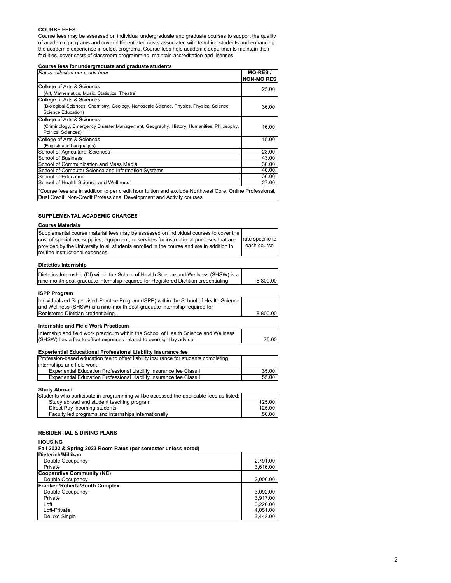#### **COURSE FEES**

Course fees may be assessed on individual undergraduate and graduate courses to support the quality of academic programs and cover differentiated costs associated with teaching students and enhancing the academic experience in select programs. Course fees help academic departments maintain their facilities, cover costs of classroom programming, maintain accreditation and licenses.

**Course fees for undergraduate and graduate students**

| Rates reflected per credit hour                                                                                                                                                   | <b>MO-RES/</b><br><b>NON-MO RES</b> |
|-----------------------------------------------------------------------------------------------------------------------------------------------------------------------------------|-------------------------------------|
| College of Arts & Sciences                                                                                                                                                        | 25.00                               |
| (Art, Mathematics, Music, Statistics, Theatre)                                                                                                                                    |                                     |
| College of Arts & Sciences                                                                                                                                                        |                                     |
| (Biological Sciences, Chemistry, Geology, Nanoscale Science, Physics, Physical Science,                                                                                           | 36.00                               |
| Science Education)                                                                                                                                                                |                                     |
| College of Arts & Sciences                                                                                                                                                        |                                     |
| (Criminology, Emergency Disaster Management, Geography, History, Humanities, Philosophy,                                                                                          | 16.00                               |
| <b>Political Sciences)</b>                                                                                                                                                        |                                     |
| College of Arts & Sciences                                                                                                                                                        | 15.00                               |
| (English and Languages)                                                                                                                                                           |                                     |
| School of Agricultural Sciences                                                                                                                                                   | 28.00                               |
| <b>School of Business</b>                                                                                                                                                         | 43.00                               |
| School of Communication and Mass Media                                                                                                                                            | 30.00                               |
| School of Computer Science and Information Systems                                                                                                                                | 40.00                               |
| School of Education                                                                                                                                                               | 38.00                               |
| School of Health Science and Wellness                                                                                                                                             | 27.00                               |
| *Course fees are in addition to per credit hour tuition and exclude Northwest Core, Online Professional,<br>Dual Credit, Non-Credit Professional Development and Activity courses |                                     |

#### **SUPPLEMENTAL ACADEMIC CHARGES**

#### **Course Materials**

| Supplemental course material fees may be assessed on individual courses to cover the<br>cost of specialized supplies, equipment, or services for instructional purposes that are<br>provided by the University to all students enrolled in the course and are in addition to<br>routine instructional expenses. | rate specific to<br>each course |
|-----------------------------------------------------------------------------------------------------------------------------------------------------------------------------------------------------------------------------------------------------------------------------------------------------------------|---------------------------------|
| <b>Dietetics Internship</b>                                                                                                                                                                                                                                                                                     |                                 |
| Dietetics Internship (DI) within the School of Health Science and Wellness (SHSW) is a<br>nine-month post-graduate internship required for Registered Dietitian credentialing                                                                                                                                   | 8.800.00                        |

| <b>ISPP Program</b>                                                                   |          |
|---------------------------------------------------------------------------------------|----------|
| Individualized Supervised-Practice Program (ISPP) within the School of Health Science |          |
| and Wellness (SHSW) is a nine-month post-graduate internship required for             |          |
| Registered Dietitian credentialing.                                                   | 8.800.00 |

#### **Internship and Field Work Practicum**

| Internship and field work practicum within the School of Health Science and Wellness |       |
|--------------------------------------------------------------------------------------|-------|
| (SHSW) has a fee to offset expenses related to oversight by advisor.                 | 75.00 |

## **Experiential Educational Professional Liability Insurance fee**

| Profession-based education fee to offset liability insurance for students completing |       |
|--------------------------------------------------------------------------------------|-------|
| linternships and field work.                                                         |       |
| Experiential Education Professional Liability Insurance fee Class I                  | 35.00 |
| Experiential Education Professional Liability Insurance fee Class II                 | 55.00 |

#### **Study Abroad**

| Students who participate in programming will be accessed the applicable fees as listed: |        |
|-----------------------------------------------------------------------------------------|--------|
| Study abroad and student teaching program                                               | 125.00 |
| Direct Pay incoming students                                                            | 125.00 |
| Faculty led programs and internships internationally                                    | 50.00  |
|                                                                                         |        |

## **RESIDENTIAL & DINING PLANS**

#### **HOUSING**

**Fall 2022 & Spring 2023 Room Rates (per semester unless noted)**

| Dieterich/Millikan            |          |
|-------------------------------|----------|
| Double Occupancy              | 2.791.00 |
| Private                       | 3,616.00 |
| Cooperative Community (NC)    |          |
| Double Occupancy              | 2.000.00 |
| Franken/Roberta/South Complex |          |
| Double Occupancy              | 3.092.00 |
| Private                       | 3.917.00 |
| Loft                          | 3.226.00 |
| Loft-Private                  | 4.051.00 |
| Deluxe Single                 | 3.442.00 |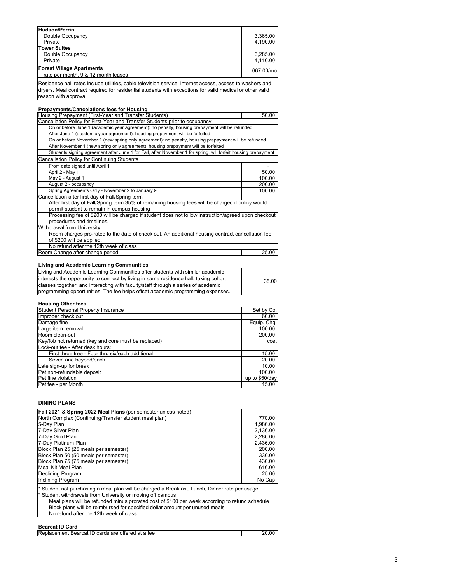| <b>Hudson/Perrin</b>                                                                                     |           |
|----------------------------------------------------------------------------------------------------------|-----------|
| Double Occupancy                                                                                         | 3,365.00  |
| Private                                                                                                  | 4,190.00  |
| Tower Suites                                                                                             |           |
| Double Occupancy                                                                                         | 3.285.00  |
| Private                                                                                                  | 4,110.00  |
| <b>Forest Village Apartments</b><br>rate per month, 9 & 12 month leases                                  | 667.00/mo |
|                                                                                                          |           |
| Residence hall rates include utilities, cable television service, internet access, access to washers and |           |

dryers. Meal contract required for residential students with exceptions for valid medical or other valid reason with approval.

| <b>Prepayments/Cancelations fees for Housing</b>                                                               |        |
|----------------------------------------------------------------------------------------------------------------|--------|
| Housing Prepayment (First-Year and Transfer Students)                                                          | 50.00  |
| Cancellation Policy for First-Year and Transfer Students prior to occupancy                                    |        |
| On or before June 1 (academic year agreement): no penalty, housing prepayment will be refunded                 |        |
| After June 1 (academic year agreement): housing prepayment will be forfeited                                   |        |
| On or before November 1 (new spring only agreement): no penalty, housing prepayment will be refunded           |        |
| After November 1 (new spring only agreement): housing prepayment will be forfeited                             |        |
| Students signing agreement after June 1 for Fall, after November 1 for spring, will forfeit housing prepayment |        |
| <b>Cancellation Policy for Continuing Students</b>                                                             |        |
| From date signed until April 1                                                                                 |        |
| April 2 - May 1                                                                                                | 50.00  |
| May 2 - August 1                                                                                               | 100.00 |
| August 2 - occupancy                                                                                           | 200.00 |
| Spring Agreements Only - November 2 to January 9                                                               |        |
| Cancellation after first day of Fall/Spring term                                                               |        |
| After first day of Fall/Spring term 35% of remaining housing fees will be charged if policy would              |        |
| permit student to remain in campus housing                                                                     |        |
| Processing fee of \$200 will be charged if student does not follow instruction/agreed upon checkout            |        |
| procedures and timelines.                                                                                      |        |
| Withdrawal from University                                                                                     |        |
| Room charges pro-rated to the date of check out. An additional housing contract cancellation fee               |        |
| of \$200 will be applied.                                                                                      |        |
| No refund after the 12th week of class                                                                         |        |
| Room Change after change period                                                                                | 25.00  |
|                                                                                                                |        |

## **Living and Academic Learning Communities**

| Living and Academic Learning Communities offer students with similar academic         |       |
|---------------------------------------------------------------------------------------|-------|
| linterests the opportunity to connect by living in same residence hall, taking cohort | 35.00 |
| classes together, and interacting with faculty/staff through a series of academic     |       |
| programming opportunities. The fee helps offset academic programming expenses.        |       |

## **Housing Other fees**

| <b>Student Personal Property Insurance</b>           | Set by Co.     |
|------------------------------------------------------|----------------|
| Improper check out                                   | 60.00          |
| Damage fine                                          | Equip. Chg.    |
| Large item removal                                   | 100.00         |
| Room clean-out                                       | 200.00         |
| Key/fob not returned (key and core must be replaced) | cost           |
| Lock-out fee - After desk hours:                     |                |
| First three free - Four thru six/each additional     | 15.00          |
| Seven and beyond/each                                | 20.00          |
| Late sign-up for break                               | 10.00          |
| Pet non-refundable deposit                           | 100.00         |
| Pet fine violation                                   | up to \$50/day |
| Pet fee - per Month                                  | 15.00          |

#### **DINING PLANS**

| Fall 2021 & Spring 2022 Meal Plans (per semester unless noted)                                                                                                                                                                                                                                                                                                                          |          |
|-----------------------------------------------------------------------------------------------------------------------------------------------------------------------------------------------------------------------------------------------------------------------------------------------------------------------------------------------------------------------------------------|----------|
| North Complex (Continuing/Transfer student meal plan)                                                                                                                                                                                                                                                                                                                                   | 770.00   |
| 5-Day Plan                                                                                                                                                                                                                                                                                                                                                                              | 1.986.00 |
| 7-Day Silver Plan                                                                                                                                                                                                                                                                                                                                                                       | 2.136.00 |
| 7-Day Gold Plan                                                                                                                                                                                                                                                                                                                                                                         | 2.286.00 |
| 7-Day Platinum Plan                                                                                                                                                                                                                                                                                                                                                                     | 2,436.00 |
| Block Plan 25 (25 meals per semester)                                                                                                                                                                                                                                                                                                                                                   | 200.00   |
| Block Plan 50 (50 meals per semester)                                                                                                                                                                                                                                                                                                                                                   | 330.00   |
| Block Plan 75 (75 meals per semester)                                                                                                                                                                                                                                                                                                                                                   | 430.00   |
| Meal Kit Meal Plan                                                                                                                                                                                                                                                                                                                                                                      | 616.00   |
| <b>Declining Program</b>                                                                                                                                                                                                                                                                                                                                                                | 25.00    |
| Inclining Program                                                                                                                                                                                                                                                                                                                                                                       | No Cap   |
| * Student not purchasing a meal plan will be charged a Breakfast, Lunch, Dinner rate per usage<br>* Student withdrawals from University or moving off campus<br>Meal plans will be refunded minus prorated cost of \$100 per week according to refund schedule<br>Block plans will be reimbursed for specified dollar amount per unused meals<br>No refund after the 12th week of class |          |
|                                                                                                                                                                                                                                                                                                                                                                                         |          |

## **Bearcat ID Card**

| lReplacement Bearcat ID cards are offered a<br>at a tee | n٢ |
|---------------------------------------------------------|----|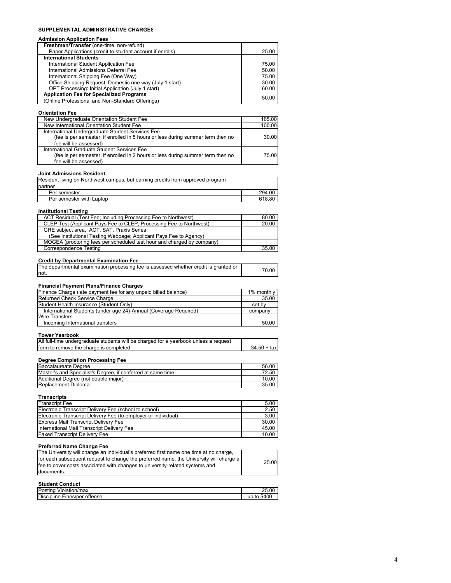# **SUPPLEMENTAL ADMINISTRATIVE CHARGES**

| SUPPLEMENTAL ADMINISTRATIVE CHARGES                                                                                                         |               |
|---------------------------------------------------------------------------------------------------------------------------------------------|---------------|
| Admission Application Fees                                                                                                                  |               |
| Freshmen/Transfer (one-time, non-refund)                                                                                                    |               |
| Paper Applications (credit to student account if enrolls)                                                                                   | 25.00         |
| <b>International Students</b>                                                                                                               |               |
| International Student Application Fee                                                                                                       | 75.00         |
| International Admissions Deferral Fee                                                                                                       | 50.00         |
| International Shipping Fee (One Way)                                                                                                        | 75.00         |
| Office Shipping Request: Domestic one way (July 1 start)                                                                                    | 30.00         |
| OPT Processing: Initial Application (July 1 start)                                                                                          | 60.00         |
| <b>Application Fee for Specialized Programs</b>                                                                                             | 50.00         |
| (Online Professional and Non-Standard Offerings)                                                                                            |               |
| <b>Orientation Fee</b>                                                                                                                      |               |
| New Undergraduate Orientation Student Fee                                                                                                   | 165.00        |
| New International Orientation Student Fee                                                                                                   | 100.00        |
| International Undergraduate Student Services Fee                                                                                            |               |
| (fee is per semester, if enrolled in 5 hours or less during summer term then no                                                             | 30.00         |
| fee will be assessed)                                                                                                                       |               |
| International Graduate Student Services Fee                                                                                                 |               |
| (fee is per semester, if enrolled in 2 hours or less during summer term then no                                                             | 75.00         |
| fee will be assessed)                                                                                                                       |               |
|                                                                                                                                             |               |
| <b>Joint Admissions Resident</b>                                                                                                            |               |
| Resident living on Northwest campus, but earning credits from approved program                                                              |               |
| partner                                                                                                                                     |               |
| Per semester                                                                                                                                | 294.00        |
| Per semester with Laptop                                                                                                                    | 618.80        |
|                                                                                                                                             |               |
| <b>Institutional Testing</b>                                                                                                                |               |
| ACT Residual (Test Fee; Including Processing Fee to Northwest)                                                                              | 80.00         |
| CLEP Test (Applicant Pays Fee to CLEP; Processing Fee to Northwest)                                                                         | 20.00         |
| GRE subject area, ACT, SAT. Praxis Series                                                                                                   |               |
| (See Institutional Testing Webpage; Applicant Pays Fee to Agency)<br>MOGEA (proctoring fees per scheduled test hour and charged by company) |               |
|                                                                                                                                             |               |
| <b>Correspondence Testing</b>                                                                                                               | 35.00         |
| <b>Credit by Departmental Examination Fee</b>                                                                                               |               |
| The departmental examination processing fee is assessed whether credit is granted or                                                        |               |
| not.                                                                                                                                        | 70.00         |
|                                                                                                                                             |               |
| <b>Financial Payment Plans/Finance Charges</b>                                                                                              |               |
| Finance Charge (late payment fee for any unpaid billed balance)                                                                             | 1% monthly    |
| Returned Check Service Charge                                                                                                               | 35.00         |
| Student Health Insurance (Student Only)                                                                                                     | set by        |
| International Students (under age 24)-Annual (Coverage Required)                                                                            | company       |
| Wire Transfers                                                                                                                              |               |
| Incoming International transfers                                                                                                            | 50.00         |
|                                                                                                                                             |               |
| <b>Tower Yearbook</b>                                                                                                                       |               |
| All full-time undergraduate students will be charged for a yearbook unless a request                                                        |               |
| form to remove the charge is completed                                                                                                      | $34.50 + tax$ |
|                                                                                                                                             |               |
| <b>Degree Completion Processing Fee</b>                                                                                                     |               |
| <b>Baccalaureate Degree</b>                                                                                                                 | 56.00         |
| Master's and Specialist's Degree, if conferred at same time                                                                                 | 72.50         |
| Additional Degree (not double major)                                                                                                        | 10.00         |
| Replacement Diploma                                                                                                                         | 35.00         |
|                                                                                                                                             |               |
| <b>Transcripts</b>                                                                                                                          |               |
| <b>Transcript Fee</b>                                                                                                                       | 5.00          |
| Electronic Transcript Delivery Fee (school to school)                                                                                       | 2.50          |
| Electronic Transcript Delivery Fee (to employer or individual)                                                                              | 3.00          |
| Express Mail Transcript Delivery Fee                                                                                                        | 30.00         |
| International Mail Transcript Delivery Fee                                                                                                  | 45.00         |
| <b>Faxed Transcript Delivery Fee</b>                                                                                                        | 10.00         |
|                                                                                                                                             |               |
| <b>Preferred Name Change Fee</b><br>The University will change an individual's preferred first name one time at no charge,                  |               |
| for each subsequent request to change the preferred name, the University will charge a                                                      |               |
| fee to cover costs associated with changes to university-related systems and                                                                | 25.00         |
|                                                                                                                                             |               |

| <b>Student Conduct</b> |
|------------------------|
|                        |

documents.

| Po:<br>$\sim$ $\sim$ $\sim$ $\sim$ $\sim$ $\sim$<br>uno.<br>biauonniax | OE.<br>$\Omega$ |
|------------------------------------------------------------------------|-----------------|
| Disci<br>tonco<br>offense<br>าคร<br>חר<br>nei<br>æш<br>IGO             | .               |